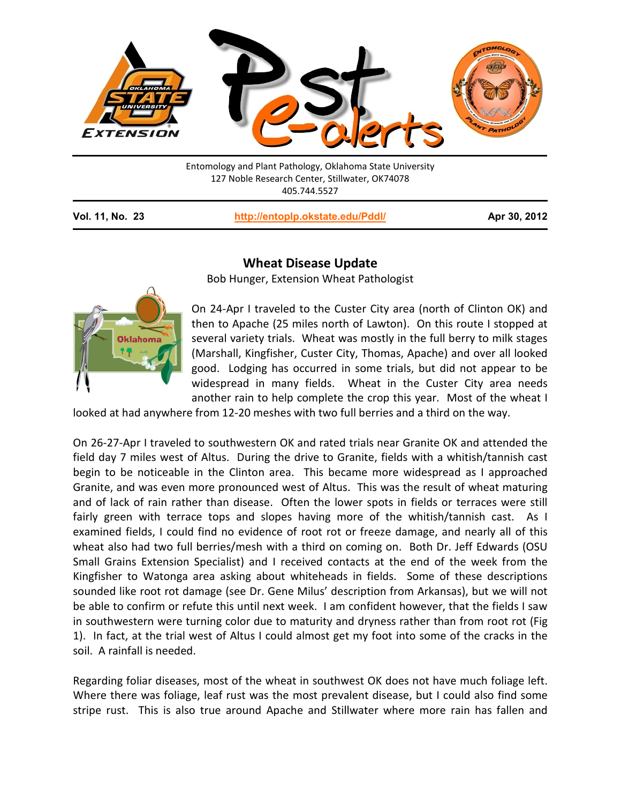

127 Noble Research Center, Stillwater, OK74078 405.744.5527

**Vol. 11, No. 23 <http://entoplp.okstate.edu/Pddl/> Apr 30, 2012**

## **Wheat Disease Update**

Bob Hunger, Extension Wheat Pathologist



On 24-Apr I traveled to the Custer City area (north of Clinton OK) and then to Apache (25 miles north of Lawton). On this route I stopped at several variety trials. Wheat was mostly in the full berry to milk stages (Marshall, Kingfisher, Custer City, Thomas, Apache) and over all looked good. Lodging has occurred in some trials, but did not appear to be widespread in many fields. Wheat in the Custer City area needs another rain to help complete the crop this year. Most of the wheat I

looked at had anywhere from 12-20 meshes with two full berries and a third on the way.

On 26-27-Apr I traveled to southwestern OK and rated trials near Granite OK and attended the field day 7 miles west of Altus. During the drive to Granite, fields with a whitish/tannish cast begin to be noticeable in the Clinton area. This became more widespread as I approached Granite, and was even more pronounced west of Altus. This was the result of wheat maturing and of lack of rain rather than disease. Often the lower spots in fields or terraces were still fairly green with terrace tops and slopes having more of the whitish/tannish cast. As I examined fields, I could find no evidence of root rot or freeze damage, and nearly all of this wheat also had two full berries/mesh with a third on coming on. Both Dr. Jeff Edwards (OSU Small Grains Extension Specialist) and I received contacts at the end of the week from the Kingfisher to Watonga area asking about whiteheads in fields. Some of these descriptions sounded like root rot damage (see Dr. Gene Milus' description from Arkansas), but we will not be able to confirm or refute this until next week. I am confident however, that the fields I saw in southwestern were turning color due to maturity and dryness rather than from root rot (Fig 1). In fact, at the trial west of Altus I could almost get my foot into some of the cracks in the soil. A rainfall is needed.

Regarding foliar diseases, most of the wheat in southwest OK does not have much foliage left. Where there was foliage, leaf rust was the most prevalent disease, but I could also find some stripe rust. This is also true around Apache and Stillwater where more rain has fallen and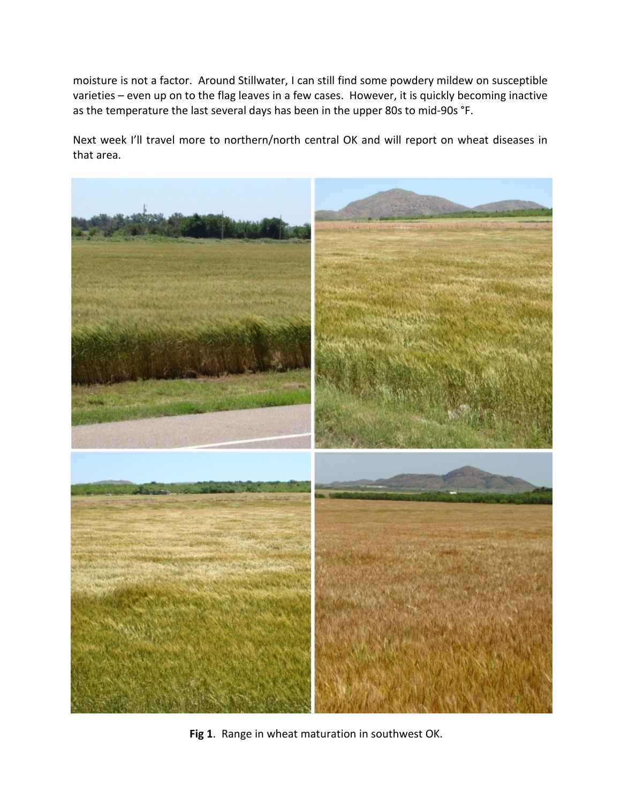moisture is not a factor. Around Stillwater, I can still find some powdery mildew on susceptible varieties – even up on to the flag leaves in a few cases. However, it is quickly becoming inactive as the temperature the last several days has been in the upper 80s to mid-90s °F.

Next week I'll travel more to northern/north central OK and will report on wheat diseases in that area.



**Fig 1**. Range in wheat maturation in southwest OK.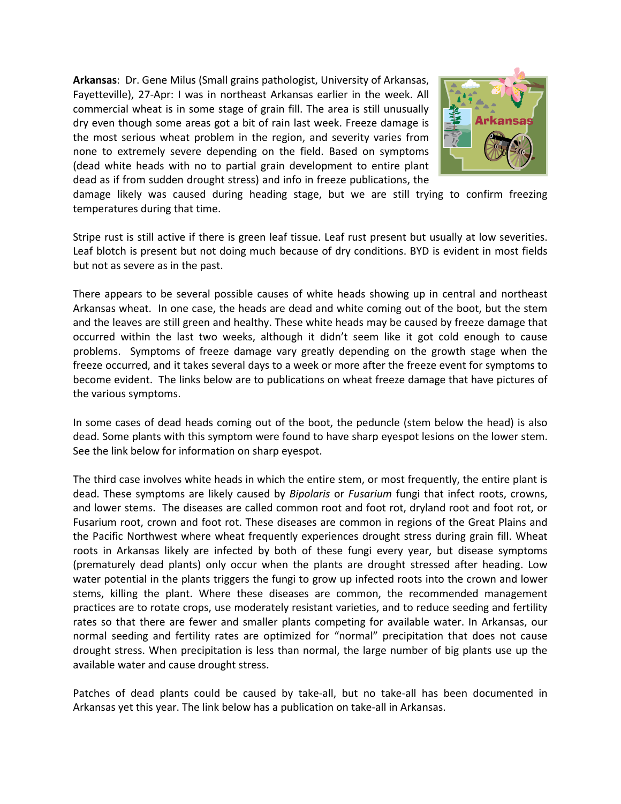**Arkansas**: Dr. Gene Milus (Small grains pathologist, University of Arkansas, Fayetteville), 27-Apr: I was in northeast Arkansas earlier in the week. All commercial wheat is in some stage of grain fill. The area is still unusually dry even though some areas got a bit of rain last week. Freeze damage is the most serious wheat problem in the region, and severity varies from none to extremely severe depending on the field. Based on symptoms (dead white heads with no to partial grain development to entire plant dead as if from sudden drought stress) and info in freeze publications, the



damage likely was caused during heading stage, but we are still trying to confirm freezing temperatures during that time.

Stripe rust is still active if there is green leaf tissue. Leaf rust present but usually at low severities. Leaf blotch is present but not doing much because of dry conditions. BYD is evident in most fields but not as severe as in the past.

There appears to be several possible causes of white heads showing up in central and northeast Arkansas wheat. In one case, the heads are dead and white coming out of the boot, but the stem and the leaves are still green and healthy. These white heads may be caused by freeze damage that occurred within the last two weeks, although it didn't seem like it got cold enough to cause problems. Symptoms of freeze damage vary greatly depending on the growth stage when the freeze occurred, and it takes several days to a week or more after the freeze event for symptoms to become evident. The links below are to publications on wheat freeze damage that have pictures of the various symptoms.

In some cases of dead heads coming out of the boot, the peduncle (stem below the head) is also dead. Some plants with this symptom were found to have sharp eyespot lesions on the lower stem. See the link below for information on sharp eyespot.

The third case involves white heads in which the entire stem, or most frequently, the entire plant is dead. These symptoms are likely caused by *Bipolaris* or *Fusarium* fungi that infect roots, crowns, and lower stems. The diseases are called common root and foot rot, dryland root and foot rot, or Fusarium root, crown and foot rot. These diseases are common in regions of the Great Plains and the Pacific Northwest where wheat frequently experiences drought stress during grain fill. Wheat roots in Arkansas likely are infected by both of these fungi every year, but disease symptoms (prematurely dead plants) only occur when the plants are drought stressed after heading. Low water potential in the plants triggers the fungi to grow up infected roots into the crown and lower stems, killing the plant. Where these diseases are common, the recommended management practices are to rotate crops, use moderately resistant varieties, and to reduce seeding and fertility rates so that there are fewer and smaller plants competing for available water. In Arkansas, our normal seeding and fertility rates are optimized for "normal" precipitation that does not cause drought stress. When precipitation is less than normal, the large number of big plants use up the available water and cause drought stress.

Patches of dead plants could be caused by take-all, but no take-all has been documented in Arkansas yet this year. The link below has a publication on take-all in Arkansas.